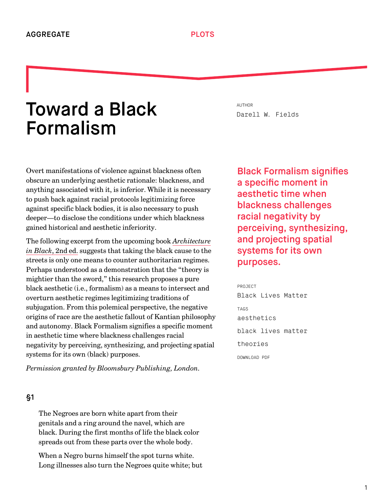## Toward a Black Formalism

Overt manifestations of violence against blackness often obscure an underlying aesthetic rationale: blackness, and anything associated with it, is inferior. While it is necessary to push back against racial protocols legitimizing force against specific black bodies, it is also necessary to push deeper—to disclose the conditions under which blackness gained historical and aesthetic inferiority.

The following excerpt from the upcoming book *Architecture in Black*[, 2nd ed. suggests that taking the black cause to the](http://www.bloomsbury.com/uk/architecture-in-black-9781472567048/) streets is only one means to counter authoritarian regimes. Perhaps understood as a demonstration that the "theory is mightier than the sword," this research proposes a pure black aesthetic (i.e., formalism) as a means to intersect and overturn aesthetic regimes legitimizing traditions of subjugation. From this polemical perspective, the negative origins of race are the aesthetic fallout of Kantian philosophy and autonomy. Black Formalism signifies a specific moment in aesthetic time where blackness challenges racial negativity by perceiving, synthesizing, and projecting spatial systems for its own (black) purposes.

*Permission granted by Bloomsbury Publishing, London.*

## §1

The Negroes are born white apart from their genitals and a ring around the navel, which are black. During the first months of life the black color spreads out from these parts over the whole body.

When a Negro burns himself the spot turns white. Long illnesses also turn the Negroes quite white; but AUTHOR [Darell W. Fields](http://we-aggregate.org/people/darell-w-fields)

Black Formalism signifies a specific moment in aesthetic time when blackness challenges racial negativity by perceiving, synthesizing, and projecting spatial systems for its own purposes.

## PROJECT

[Black Lives Matter](http://we-aggregate.org/project/black-lives-matter) TAGS [aesthetics](http://we-aggregate.org/tag/aesthetics) [black lives matter](http://we-aggregate.org/tag/black-lives-matter) [theories](http://we-aggregate.org/tag/theories) DOWNLOAD PDF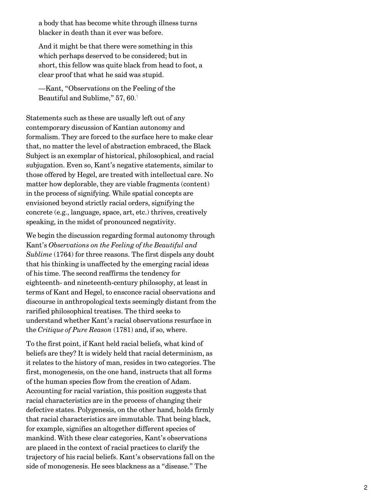a body that has become white through illness turns blacker in death than it ever was before.

And it might be that there were something in this which perhaps deserved to be considered; but in short, this fellow was quite black from head to foot, a clear proof that what he said was stupid.

<span id="page-1-0"></span>—Kant, "Observations on the Feeling of the Beautiful and Sublime," 57, 60. [1](#page-6-0)

Statements such as these are usually left out of any contemporary discussion of Kantian autonomy and formalism. They are forced to the surface here to make clear that, no matter the level of abstraction embraced, the Black Subject is an exemplar of historical, philosophical, and racial subjugation. Even so, Kant's negative statements, similar to those offered by Hegel, are treated with intellectual care. No matter how deplorable, they are viable fragments (content) in the process of signifying. While spatial concepts are envisioned beyond strictly racial orders, signifying the concrete (e.g., language, space, art, etc.) thrives, creatively speaking, in the midst of pronounced negativity.

We begin the discussion regarding formal autonomy through Kant's *Observations on the Feeling of the Beautiful and Sublime* (1764) for three reasons. The first dispels any doubt that his thinking is unaffected by the emerging racial ideas of his time. The second reaffirms the tendency for eighteenth- and nineteenth-century philosophy, at least in terms of Kant and Hegel, to ensconce racial observations and discourse in anthropological texts seemingly distant from the rarified philosophical treatises. The third seeks to understand whether Kant's racial observations resurface in the *Critique of Pure Reason* (1781) and, if so, where.

To the first point, if Kant held racial beliefs, what kind of beliefs are they? It is widely held that racial determinism, as it relates to the history of man, resides in two categories. The first, monogenesis, on the one hand, instructs that all forms of the human species flow from the creation of Adam. Accounting for racial variation, this position suggests that racial characteristics are in the process of changing their defective states. Polygenesis, on the other hand, holds firmly that racial characteristics are immutable. That being black, for example, signifies an altogether different species of mankind. With these clear categories, Kant's observations are placed in the context of racial practices to clarify the trajectory of his racial beliefs. Kant's observations fall on the side of monogenesis. He sees blackness as a "disease." The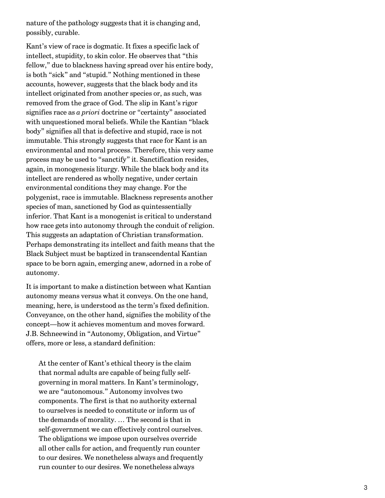nature of the pathology suggests that it is changing and, possibly, curable.

Kant's view of race is dogmatic. It fixes a specific lack of intellect, stupidity, to skin color. He observes that "this fellow," due to blackness having spread over his entire body, is both "sick" and "stupid." Nothing mentioned in these accounts, however, suggests that the black body and its intellect originated from another species or, as such, was removed from the grace of God. The slip in Kant's rigor signifies race as *a priori* doctrine or "certainty" associated with unquestioned moral beliefs. While the Kantian "black body" signifies all that is defective and stupid, race is not immutable. This strongly suggests that race for Kant is an environmental and moral process. Therefore, this very same process may be used to "sanctify" it. Sanctification resides, again, in monogenesis liturgy. While the black body and its intellect are rendered as wholly negative, under certain environmental conditions they may change. For the polygenist, race is immutable. Blackness represents another species of man, sanctioned by God as quintessentially inferior. That Kant is a monogenist is critical to understand how race gets into autonomy through the conduit of religion. This suggests an adaptation of Christian transformation. Perhaps demonstrating its intellect and faith means that the Black Subject must be baptized in transcendental Kantian space to be born again, emerging anew, adorned in a robe of autonomy.

It is important to make a distinction between what Kantian autonomy means versus what it conveys. On the one hand, meaning, here, is understood as the term's fixed definition. Conveyance, on the other hand, signifies the mobility of the concept—how it achieves momentum and moves forward. J.B. Schneewind in "Autonomy, Obligation, and Virtue" offers, more or less, a standard definition:

At the center of Kant's ethical theory is the claim that normal adults are capable of being fully selfgoverning in moral matters. In Kant's terminology, we are "autonomous." Autonomy involves two components. The first is that no authority external to ourselves is needed to constitute or inform us of the demands of morality. … The second is that in self-government we can effectively control ourselves. The obligations we impose upon ourselves override all other calls for action, and frequently run counter to our desires. We nonetheless always and frequently run counter to our desires. We nonetheless always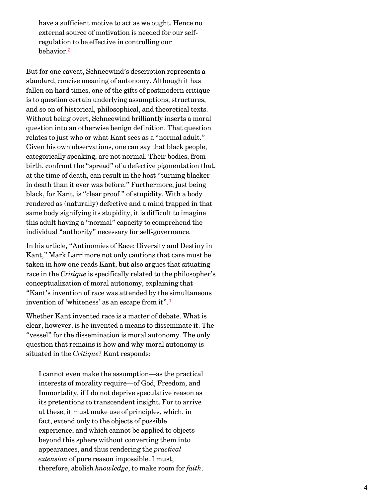<span id="page-3-0"></span>have a sufficient motive to act as we ought. Hence no external source of motivation is needed for our selfregulation to be effective in controlling our behavior. [2](#page-6-1)

But for one caveat, Schneewind's description represents a standard, concise meaning of autonomy. Although it has fallen on hard times, one of the gifts of postmodern critique is to question certain underlying assumptions, structures, and so on of historical, philosophical, and theoretical texts. Without being overt, Schneewind brilliantly inserts a moral question into an otherwise benign definition. That question relates to just who or what Kant sees as a "normal adult." Given his own observations, one can say that black people, categorically speaking, are not normal. Their bodies, from birth, confront the "spread" of a defective pigmentation that, at the time of death, can result in the host "turning blacker in death than it ever was before." Furthermore, just being black, for Kant, is "clear proof " of stupidity. With a body rendered as (naturally) defective and a mind trapped in that same body signifying its stupidity, it is difficult to imagine this adult having a "normal" capacity to comprehend the individual "authority" necessary for self-governance.

In his article, "Antinomies of Race: Diversity and Destiny in Kant," Mark Larrimore not only cautions that care must be taken in how one reads Kant, but also argues that situating race in the *Critique* is specifically related to the philosopher's conceptualization of moral autonomy, explaining that "Kant's invention of race was attended by the simultaneous invention of 'whiteness' as an escape from it". [3](#page-6-2)

<span id="page-3-1"></span>Whether Kant invented race is a matter of debate. What is clear, however, is he invented a means to disseminate it. The "vessel" for the dissemination is moral autonomy. The only question that remains is how and why moral autonomy is situated in the *Critique*? Kant responds:

I cannot even make the assumption—as the practical interests of morality require—of God, Freedom, and Immortality, if I do not deprive speculative reason as its pretentions to transcendent insight. For to arrive at these, it must make use of principles, which, in fact, extend only to the objects of possible experience, and which cannot be applied to objects beyond this sphere without converting them into appearances, and thus rendering the *practical extension* of pure reason impossible. I must, therefore, abolish *knowledge*, to make room for *faith*.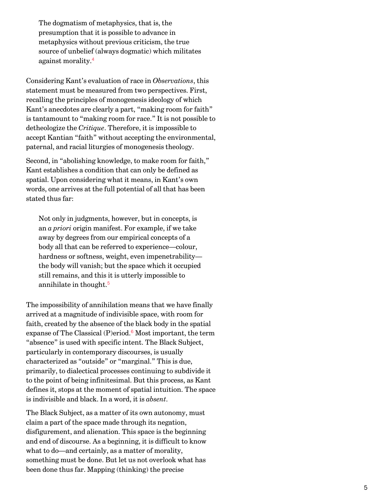<span id="page-4-0"></span>The dogmatism of metaphysics, that is, the presumption that it is possible to advance in metaphysics without previous criticism, the true source of unbelief (always dogmatic) which militates against morality. [4](#page-6-3)

Considering Kant's evaluation of race in *Observations*, this statement must be measured from two perspectives. First, recalling the principles of monogenesis ideology of which Kant's anecdotes are clearly a part, "making room for faith" is tantamount to "making room for race." It is not possible to detheologize the *Critique*. Therefore, it is impossible to accept Kantian "faith" without accepting the environmental, paternal, and racial liturgies of monogenesis theology.

Second, in "abolishing knowledge, to make room for faith," Kant establishes a condition that can only be defined as spatial. Upon considering what it means, in Kant's own words, one arrives at the full potential of all that has been stated thus far:

Not only in judgments, however, but in concepts, is an *a priori* origin manifest. For example, if we take away by degrees from our empirical concepts of a body all that can be referred to experience—colour, hardness or softness, weight, even impenetrability the body will vanish; but the space which it occupied still remains, and this it is utterly impossible to annihilate in thought. [5](#page-6-4)

<span id="page-4-2"></span><span id="page-4-1"></span>The impossibility of annihilation means that we have finally arrived at a magnitude of indivisible space, with room for faith, created by the absence of the black body in the spatial expanse of The Classical (P)eriod.<sup>6</sup> Most important, the term "absence" is used with specific intent. The Black Subject, particularly in contemporary discourses, is usually characterized as "outside" or "marginal." This is due, primarily, to dialectical processes continuing to subdivide it to the point of being infinitesimal. But this process, as Kant defines it, stops at the moment of spatial intuition. The space is indivisible and black. In a word, it is *absent*.

The Black Subject, as a matter of its own autonomy, must claim a part of the space made through its negation, disfigurement, and alienation. This space is the beginning and end of discourse. As a beginning, it is difficult to know what to do—and certainly, as a matter of morality, something must be done. But let us not overlook what has been done thus far. Mapping (thinking) the precise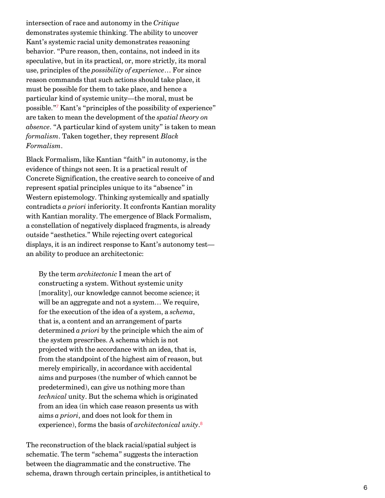intersection of race and autonomy in the *Critique* demonstrates systemic thinking. The ability to uncover Kant's systemic racial unity demonstrates reasoning behavior. "Pure reason, then, contains, not indeed in its speculative, but in its practical, or, more strictly, its moral use, principles of the *possibility of experience*… For since reason commands that such actions should take place, it must be possible for them to take place, and hence a particular kind of systemic unity—the moral, must be possible."<sup>[7](#page-6-6)</sup> Kant's "principles of the possibility of experience" are taken to mean the development of the *spatial theory on absence*. "A particular kind of system unity" is taken to mean *formalism*. Taken together, they represent *Black Formalism*.

<span id="page-5-0"></span>Black Formalism, like Kantian "faith" in autonomy, is the evidence of things not seen. It is a practical result of Concrete Signification, the creative search to conceive of and represent spatial principles unique to its "absence" in Western epistemology. Thinking systemically and spatially contradicts *a priori* inferiority. It confronts Kantian morality with Kantian morality. The emergence of Black Formalism, a constellation of negatively displaced fragments, is already outside "aesthetics." While rejecting overt categorical displays, it is an indirect response to Kant's autonomy test an ability to produce an architectonic:

By the term *architectonic* I mean the art of constructing a system. Without systemic unity [morality], our knowledge cannot become science; it will be an aggregate and not a system… We require, for the execution of the idea of a system, a *schema*, that is, a content and an arrangement of parts determined *a priori* by the principle which the aim of the system prescribes. A schema which is not projected with the accordance with an idea, that is, from the standpoint of the highest aim of reason, but merely empirically, in accordance with accidental aims and purposes (the number of which cannot be predetermined), can give us nothing more than *technical* unity. But the schema which is originated from an idea (in which case reason presents us with aims *a priori*, and does not look for them in experience), forms the basis of *architectonical unity*. [8](#page-6-7)

<span id="page-5-1"></span>The reconstruction of the black racial/spatial subject is schematic. The term "schema" suggests the interaction between the diagrammatic and the constructive. The schema, drawn through certain principles, is antithetical to